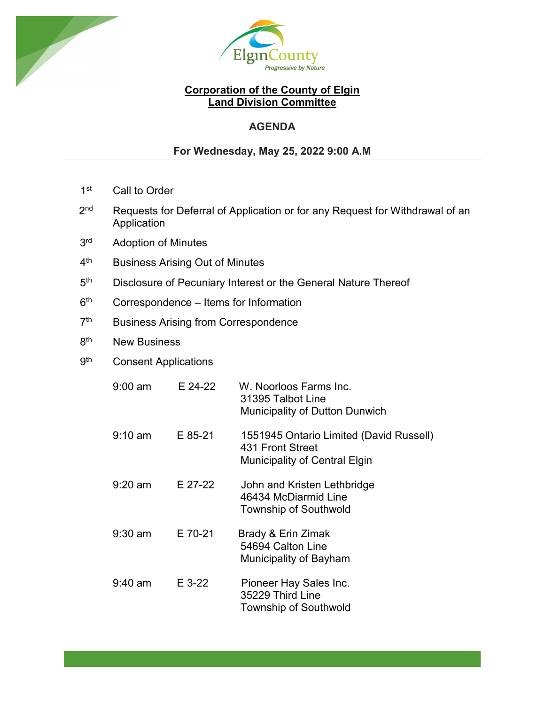



## **Corporation of the County of Elgin Land Division Committee**

# **AGENDA**

## **For Wednesday, May 25, 2022 9:00 A.M**

- 1<sup>st</sup> Call to Order
- 2<sup>nd</sup> Requests for Deferral of Application or for any Request for Withdrawal of an Application
- 3<sup>rd</sup> Adoption of Minutes
- 4<sup>th</sup> Business Arising Out of Minutes
- 5<sup>th</sup> Disclosure of Pecuniary Interest or the General Nature Thereof
- $6<sup>th</sup>$  Correspondence Items for Information
- 7<sup>th</sup> Business Arising from Correspondence
- 8<sup>th</sup> New Business
- 9<sup>th</sup> Consent Applications

| $9:00$ am         | E 24-22  | W. Noorloos Farms Inc.<br>31395 Talbot Line<br><b>Municipality of Dutton Dunwich</b>                |
|-------------------|----------|-----------------------------------------------------------------------------------------------------|
| $9:10 \text{ am}$ | E 85-21  | 1551945 Ontario Limited (David Russell)<br>431 Front Street<br><b>Municipality of Central Elgin</b> |
| $9:20$ am         | E 27-22  | John and Kristen Lethbridge<br>46434 McDiarmid Line<br><b>Township of Southwold</b>                 |
| $9:30$ am         | E 70-21  | Brady & Erin Zimak<br>54694 Calton Line<br>Municipality of Bayham                                   |
| $9:40$ am         | $E$ 3-22 | Pioneer Hay Sales Inc.<br>35229 Third Line<br><b>Township of Southwold</b>                          |